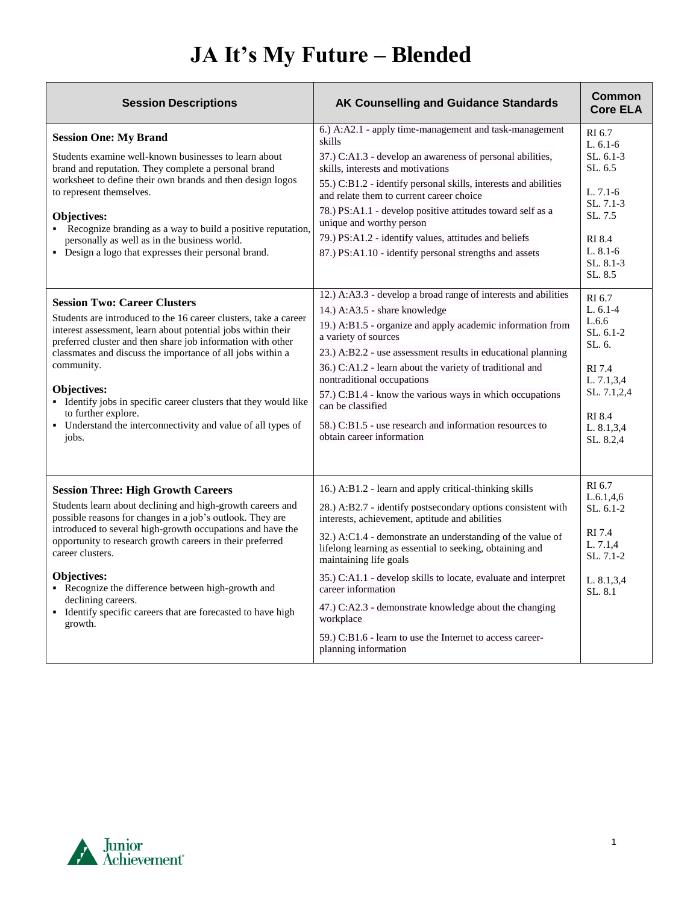## **JA It's My Future – Blended**

| <b>Session Descriptions</b>                                                                                                                                                                                                                                                                                                                                                                                                                                                                           | AK Counselling and Guidance Standards                                                                                                                                                                                                                                                                                                                                                                                                                                                                                                                                            | <b>Common</b><br><b>Core ELA</b>                                                                                                        |
|-------------------------------------------------------------------------------------------------------------------------------------------------------------------------------------------------------------------------------------------------------------------------------------------------------------------------------------------------------------------------------------------------------------------------------------------------------------------------------------------------------|----------------------------------------------------------------------------------------------------------------------------------------------------------------------------------------------------------------------------------------------------------------------------------------------------------------------------------------------------------------------------------------------------------------------------------------------------------------------------------------------------------------------------------------------------------------------------------|-----------------------------------------------------------------------------------------------------------------------------------------|
| <b>Session One: My Brand</b><br>Students examine well-known businesses to learn about<br>brand and reputation. They complete a personal brand<br>worksheet to define their own brands and then design logos<br>to represent themselves.<br>Objectives:<br>• Recognize branding as a way to build a positive reputation,<br>personally as well as in the business world.<br>• Design a logo that expresses their personal brand.                                                                       | 6.) A:A2.1 - apply time-management and task-management<br>skills<br>37.) C:A1.3 - develop an awareness of personal abilities,<br>skills, interests and motivations<br>55.) C:B1.2 - identify personal skills, interests and abilities<br>and relate them to current career choice<br>78.) PS:A1.1 - develop positive attitudes toward self as a<br>unique and worthy person<br>79.) PS:A1.2 - identify values, attitudes and beliefs<br>87.) PS:A1.10 - identify personal strengths and assets                                                                                   | RI 6.7<br>L. $6.1-6$<br>$SL. 6.1-3$<br>SL, 6.5<br>$L. 7.1-6$<br>$SL. 7.1-3$<br>SL.7.5<br>RI 8.4<br>$L. 8.1 - 6$<br>SL. 8.1-3<br>SL, 8.5 |
| <b>Session Two: Career Clusters</b><br>Students are introduced to the 16 career clusters, take a career<br>interest assessment, learn about potential jobs within their<br>preferred cluster and then share job information with other<br>classmates and discuss the importance of all jobs within a<br>community.<br>Objectives:<br>• Identify jobs in specific career clusters that they would like<br>to further explore.<br>• Understand the interconnectivity and value of all types of<br>jobs. | 12.) A:A3.3 - develop a broad range of interests and abilities<br>14.) A:A3.5 - share knowledge<br>19.) A:B1.5 - organize and apply academic information from<br>a variety of sources<br>23.) A:B2.2 - use assessment results in educational planning<br>36.) C:A1.2 - learn about the variety of traditional and<br>nontraditional occupations<br>$(57.)$ C:B1.4 - know the various ways in which occupations<br>can be classified<br>58.) C:B1.5 - use research and information resources to<br>obtain career information                                                      | RI 6.7<br>$L.6.1-4$<br>L.6.6<br>$SL. 6.1-2$<br>SL, 6.<br>RI 7.4<br>L. 7.1,3,4<br>SL. 7.1,2,4<br>RI 8.4<br>L. 8.1,3,4<br>SL. 8.2,4       |
| <b>Session Three: High Growth Careers</b><br>Students learn about declining and high-growth careers and<br>possible reasons for changes in a job's outlook. They are<br>introduced to several high-growth occupations and have the<br>opportunity to research growth careers in their preferred<br>career clusters.<br>Objectives:<br>• Recognize the difference between high-growth and<br>declining careers.<br>• Identify specific careers that are forecasted to have high<br>growth.             | 16.) A:B1.2 - learn and apply critical-thinking skills<br>28.) A:B2.7 - identify postsecondary options consistent with<br>interests, achievement, aptitude and abilities<br>32.) A:C1.4 - demonstrate an understanding of the value of<br>lifelong learning as essential to seeking, obtaining and<br>maintaining life goals<br>35.) C:A1.1 - develop skills to locate, evaluate and interpret<br>career information<br>47.) C:A2.3 - demonstrate knowledge about the changing<br>workplace<br>59.) C:B1.6 - learn to use the Internet to access career-<br>planning information | RI 6.7<br>L.6.1, 4.6<br>SL. 6.1-2<br>RI 7.4<br>L. 7.1.4<br>$SL. 7.1 - 2$<br>L. 8.1,3,4<br>SL, 8.1                                       |